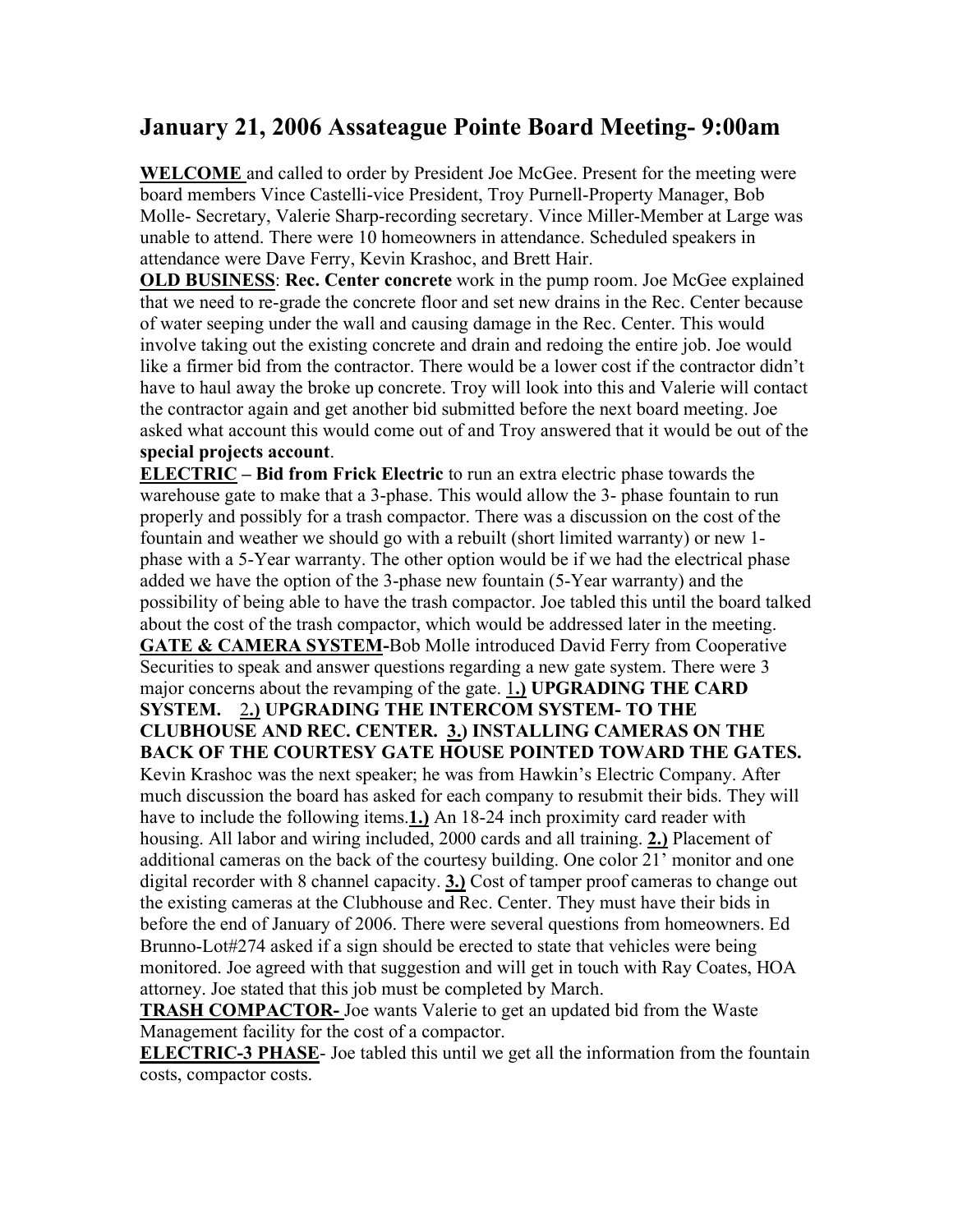## **January 21, 2006 Assateague Pointe Board Meeting- 9:00am**

**WELCOME** and called to order by President Joe McGee. Present for the meeting were board members Vince Castelli-vice President, Troy Purnell-Property Manager, Bob Molle- Secretary, Valerie Sharp-recording secretary. Vince Miller-Member at Large was unable to attend. There were 10 homeowners in attendance. Scheduled speakers in attendance were Dave Ferry, Kevin Krashoc, and Brett Hair.

**OLD BUSINESS**: **Rec. Center concrete** work in the pump room. Joe McGee explained that we need to re-grade the concrete floor and set new drains in the Rec. Center because of water seeping under the wall and causing damage in the Rec. Center. This would involve taking out the existing concrete and drain and redoing the entire job. Joe would like a firmer bid from the contractor. There would be a lower cost if the contractor didn't have to haul away the broke up concrete. Troy will look into this and Valerie will contact the contractor again and get another bid submitted before the next board meeting. Joe asked what account this would come out of and Troy answered that it would be out of the **special projects account**.

**ELECTRIC – Bid from Frick Electric** to run an extra electric phase towards the warehouse gate to make that a 3-phase. This would allow the 3- phase fountain to run properly and possibly for a trash compactor. There was a discussion on the cost of the fountain and weather we should go with a rebuilt (short limited warranty) or new 1 phase with a 5-Year warranty. The other option would be if we had the electrical phase added we have the option of the 3-phase new fountain (5-Year warranty) and the possibility of being able to have the trash compactor. Joe tabled this until the board talked about the cost of the trash compactor, which would be addressed later in the meeting. **GATE & CAMERA SYSTEM-**Bob Molle introduced David Ferry from Cooperative Securities to speak and answer questions regarding a new gate system. There were 3 major concerns about the revamping of the gate. 1**.) UPGRADING THE CARD SYSTEM.** 2**.) UPGRADING THE INTERCOM SYSTEM- TO THE CLUBHOUSE AND REC. CENTER. 3.) INSTALLING CAMERAS ON THE BACK OF THE COURTESY GATE HOUSE POINTED TOWARD THE GATES.** Kevin Krashoc was the next speaker; he was from Hawkin's Electric Company. After much discussion the board has asked for each company to resubmit their bids. They will have to include the following items.**1.)** An 18-24 inch proximity card reader with housing. All labor and wiring included, 2000 cards and all training. **2.)** Placement of additional cameras on the back of the courtesy building. One color 21' monitor and one digital recorder with 8 channel capacity. **3.)** Cost of tamper proof cameras to change out the existing cameras at the Clubhouse and Rec. Center. They must have their bids in before the end of January of 2006. There were several questions from homeowners. Ed Brunno-Lot#274 asked if a sign should be erected to state that vehicles were being monitored. Joe agreed with that suggestion and will get in touch with Ray Coates, HOA attorney. Joe stated that this job must be completed by March.

**TRASH COMPACTOR-** Joe wants Valerie to get an updated bid from the Waste Management facility for the cost of a compactor.

**ELECTRIC-3 PHASE**- Joe tabled this until we get all the information from the fountain costs, compactor costs.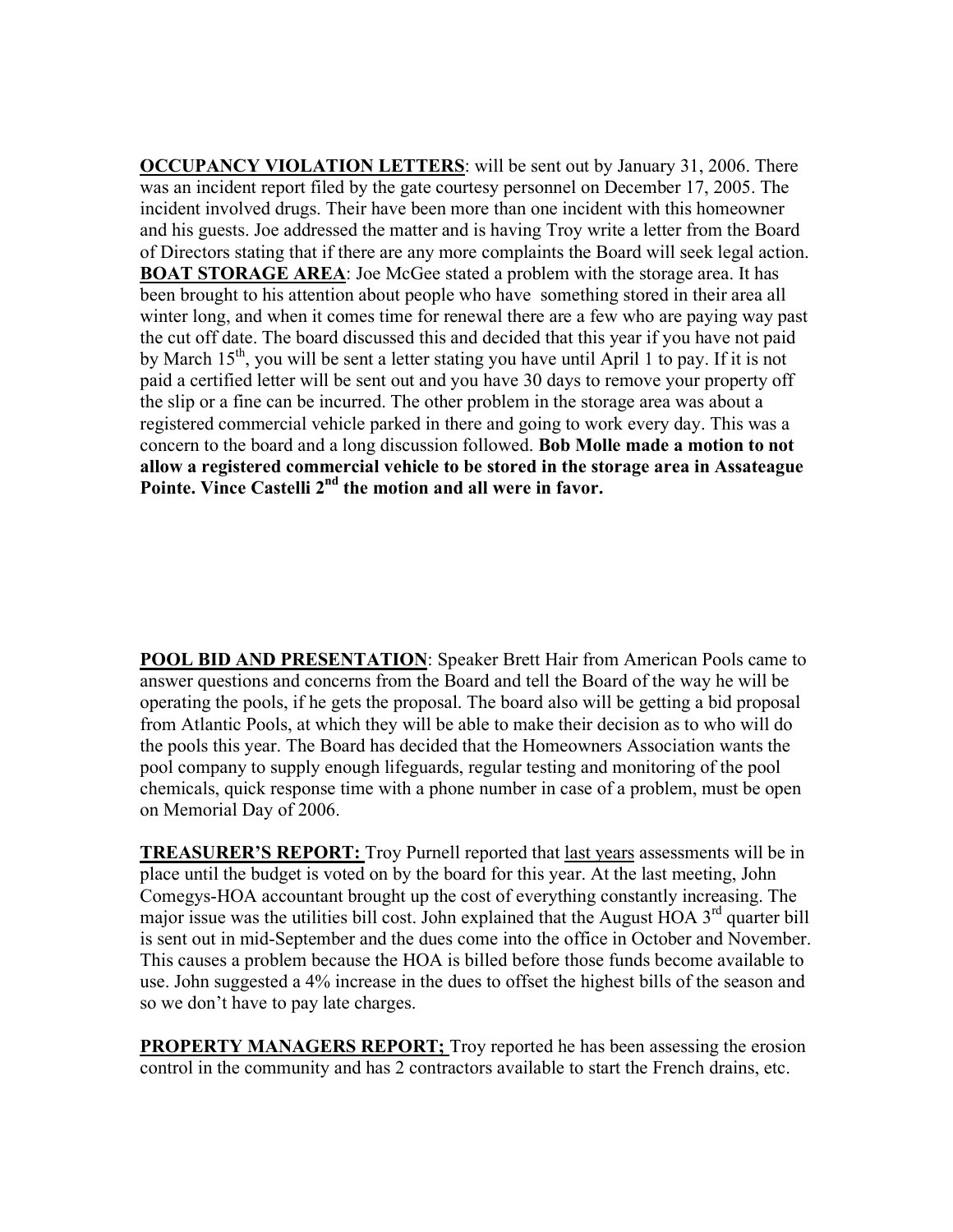**OCCUPANCY VIOLATION LETTERS**: will be sent out by January 31, 2006. There was an incident report filed by the gate courtesy personnel on December 17, 2005. The incident involved drugs. Their have been more than one incident with this homeowner and his guests. Joe addressed the matter and is having Troy write a letter from the Board of Directors stating that if there are any more complaints the Board will seek legal action. **BOAT STORAGE AREA**: Joe McGee stated a problem with the storage area. It has been brought to his attention about people who have something stored in their area all winter long, and when it comes time for renewal there are a few who are paying way past the cut off date. The board discussed this and decided that this year if you have not paid by March  $15<sup>th</sup>$ , you will be sent a letter stating you have until April 1 to pay. If it is not paid a certified letter will be sent out and you have 30 days to remove your property off the slip or a fine can be incurred. The other problem in the storage area was about a registered commercial vehicle parked in there and going to work every day. This was a concern to the board and a long discussion followed. **Bob Molle made a motion to not allow a registered commercial vehicle to be stored in the storage area in Assateague** Pointe. Vince Castelli 2<sup>nd</sup> the motion and all were in favor.

**POOL BID AND PRESENTATION**: Speaker Brett Hair from American Pools came to answer questions and concerns from the Board and tell the Board of the way he will be operating the pools, if he gets the proposal. The board also will be getting a bid proposal from Atlantic Pools, at which they will be able to make their decision as to who will do the pools this year. The Board has decided that the Homeowners Association wants the pool company to supply enough lifeguards, regular testing and monitoring of the pool chemicals, quick response time with a phone number in case of a problem, must be open on Memorial Day of 2006.

**TREASURER'S REPORT:** Troy Purnell reported that last years assessments will be in place until the budget is voted on by the board for this year. At the last meeting, John Comegys-HOA accountant brought up the cost of everything constantly increasing. The major issue was the utilities bill cost. John explained that the August HOA  $3<sup>rd</sup>$  quarter bill is sent out in mid-September and the dues come into the office in October and November. This causes a problem because the HOA is billed before those funds become available to use. John suggested a 4% increase in the dues to offset the highest bills of the season and so we don't have to pay late charges.

**PROPERTY MANAGERS REPORT;** Troy reported he has been assessing the erosion control in the community and has 2 contractors available to start the French drains, etc.